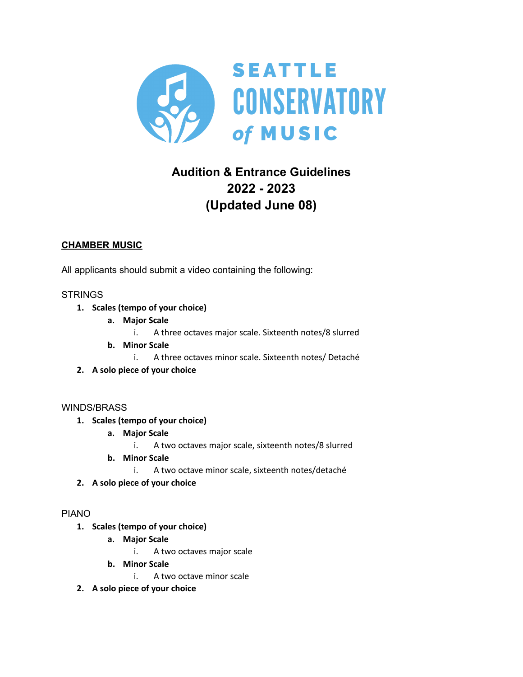

# **Audition & Entrance Guidelines 2022 - 2023 (Updated June 08)**

## **CHAMBER MUSIC**

All applicants should submit a video containing the following:

## **STRINGS**

- **1. Scales (tempo of your choice)**
	- **a. Major Scale**
		- i. A three octaves major scale. Sixteenth notes/8 slurred
	- **b. Minor Scale**
		- i. A three octaves minor scale. Sixteenth notes/ Detaché
- **2. A solo piece of your choice**

#### WINDS/BRASS

- **1. Scales (tempo of your choice)**
	- **a. Major Scale**
		- i. A two octaves major scale, sixteenth notes/8 slurred
	- **b. Minor Scale**
		- i. A two octave minor scale, sixteenth notes/detaché
- **2. A solo piece of your choice**

#### PIANO

- **1. Scales (tempo of your choice)**
	- **a. Major Scale**
		- i. A two octaves major scale
	- **b. Minor Scale**
		- i. A two octave minor scale
- **2. A solo piece of your choice**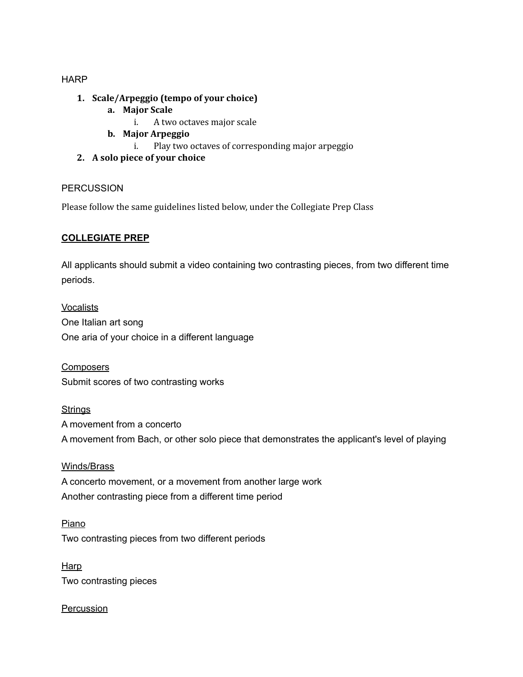#### **HARP**

- **1. Scale/Arpeggio (tempo of your choice)**
	- **a. Major Scale**
		- i. A two octaves major scale
	- **b. Major Arpeggio**
		- i. Play two octaves of corresponding major arpeggio
- **2. A solo piece of your choice**

#### PERCUSSION

Please follow the same guidelines listed below, under the Collegiate Prep Class

## **COLLEGIATE PREP**

All applicants should submit a video containing two contrasting pieces, from two different time periods.

**Vocalists** One Italian art song One aria of your choice in a different language

**Composers** Submit scores of two contrasting works

**Strings** 

A movement from a concerto A movement from Bach, or other solo piece that demonstrates the applicant's level of playing

Winds/Brass A concerto movement, or a movement from another large work Another contrasting piece from a different time period

Piano Two contrasting pieces from two different periods

Harp Two contrasting pieces

**Percussion**